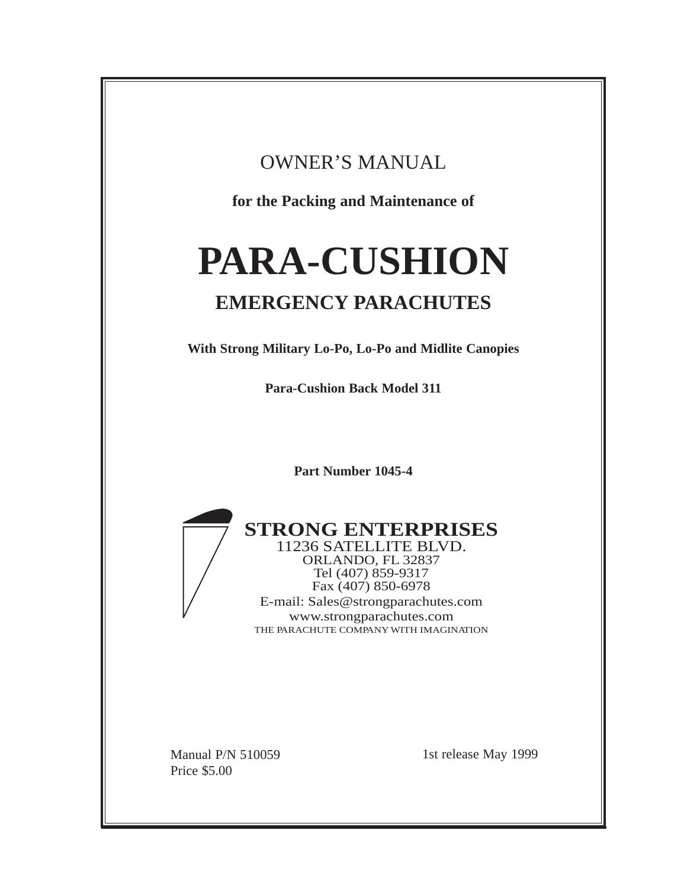OWNER'S MANUAL

**for the Packing and Maintenance of**

# **PARA-CUSHION**

# **EMERGENCY PARACHUTES**

**With Strong Military Lo-Po, Lo-Po and Midlite Canopies**

**Para-Cushion Back Model 311**

**Part Number 1045-4**



**STRONG ENTERPRISES**

11236 SATELLITE BLVD. ORLANDO, FL 32837 Tel (407) 859-9317 Fax (407) 850-6978 E-mail: Sales@strongparachutes.com www.strongparachutes.com THE PARACHUTE COMPANY WITH IMAGINATION

Price \$5.00

Manual P/N 510059 1st release May 1999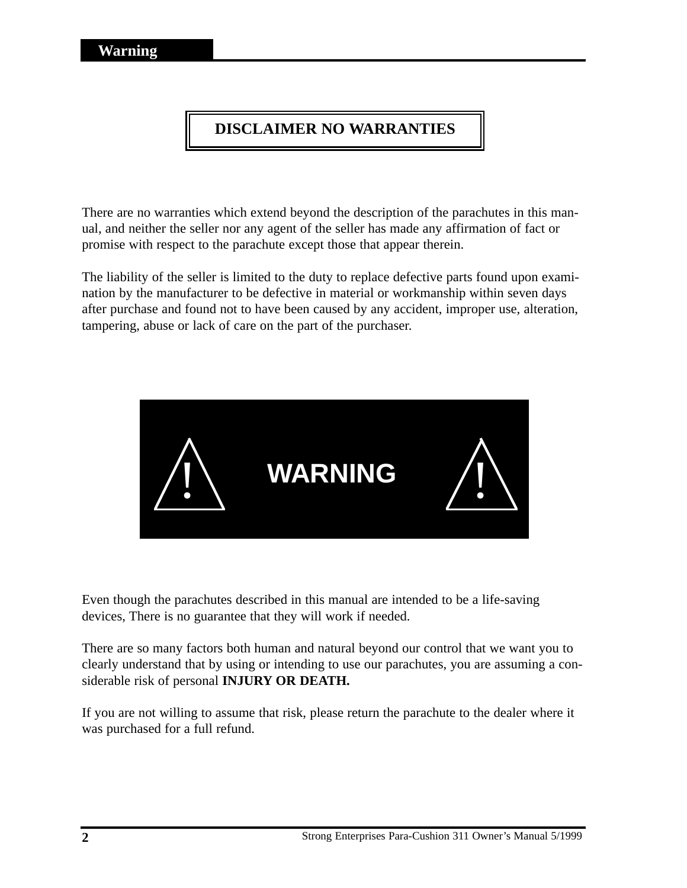# **DISCLAIMER NO WARRANTIES**

There are no warranties which extend beyond the description of the parachutes in this manual, and neither the seller nor any agent of the seller has made any affirmation of fact or promise with respect to the parachute except those that appear therein.

The liability of the seller is limited to the duty to replace defective parts found upon examination by the manufacturer to be defective in material or workmanship within seven days after purchase and found not to have been caused by any accident, improper use, alteration, tampering, abuse or lack of care on the part of the purchaser.



Even though the parachutes described in this manual are intended to be a life-saving devices, There is no guarantee that they will work if needed.

There are so many factors both human and natural beyond our control that we want you to clearly understand that by using or intending to use our parachutes, you are assuming a considerable risk of personal **INJURY OR DEATH.**

If you are not willing to assume that risk, please return the parachute to the dealer where it was purchased for a full refund.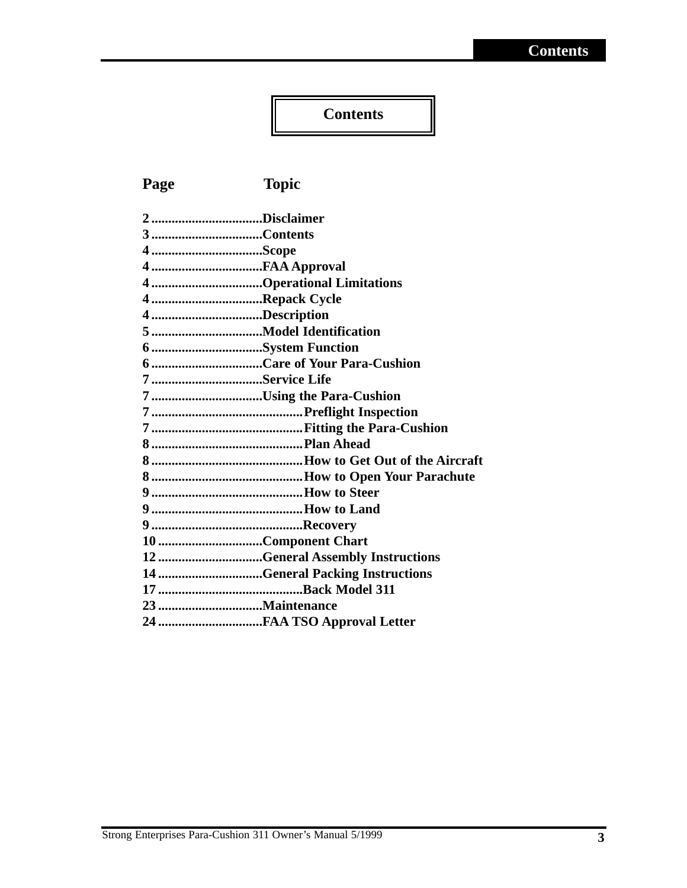# **Contents**

# **Page Topic**

| 2Disclaimer   |                                 |
|---------------|---------------------------------|
|               |                                 |
|               |                                 |
|               |                                 |
|               | 4Operational Limitations        |
| 4Repack Cycle |                                 |
| 4Description  |                                 |
|               |                                 |
|               | 6 System Function               |
|               |                                 |
| 7Service Life |                                 |
|               | 7 Using the Para-Cushion        |
|               |                                 |
|               |                                 |
|               |                                 |
|               |                                 |
|               |                                 |
|               |                                 |
|               |                                 |
|               |                                 |
|               | 10 Component Chart              |
|               | 12General Assembly Instructions |
|               | 14 General Packing Instructions |
|               |                                 |
|               |                                 |
|               | 24 FAA TSO Approval Letter      |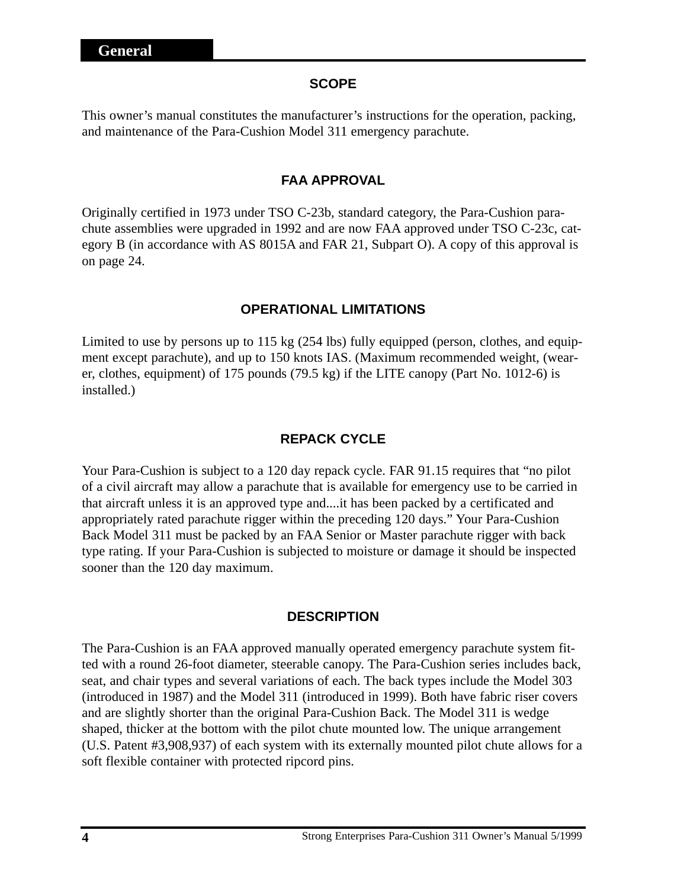#### **SCOPE**

This owner's manual constitutes the manufacturer's instructions for the operation, packing, and maintenance of the Para-Cushion Model 311 emergency parachute.

#### **FAA APPROVAL**

Originally certified in 1973 under TSO C-23b, standard category, the Para-Cushion parachute assemblies were upgraded in 1992 and are now FAA approved under TSO C-23c, category B (in accordance with AS 8015A and FAR 21, Subpart O). A copy of this approval is on page 24.

#### **OPERATIONAL LIMITATIONS**

Limited to use by persons up to 115 kg (254 lbs) fully equipped (person, clothes, and equipment except parachute), and up to 150 knots IAS. (Maximum recommended weight, (wearer, clothes, equipment) of 175 pounds (79.5 kg) if the LITE canopy (Part No. 1012-6) is installed.)

#### **REPACK CYCLE**

Your Para-Cushion is subject to a 120 day repack cycle. FAR 91.15 requires that "no pilot of a civil aircraft may allow a parachute that is available for emergency use to be carried in that aircraft unless it is an approved type and....it has been packed by a certificated and appropriately rated parachute rigger within the preceding 120 days." Your Para-Cushion Back Model 311 must be packed by an FAA Senior or Master parachute rigger with back type rating. If your Para-Cushion is subjected to moisture or damage it should be inspected sooner than the 120 day maximum.

# **DESCRIPTION**

The Para-Cushion is an FAA approved manually operated emergency parachute system fitted with a round 26-foot diameter, steerable canopy. The Para-Cushion series includes back, seat, and chair types and several variations of each. The back types include the Model 303 (introduced in 1987) and the Model 311 (introduced in 1999). Both have fabric riser covers and are slightly shorter than the original Para-Cushion Back. The Model 311 is wedge shaped, thicker at the bottom with the pilot chute mounted low. The unique arrangement (U.S. Patent #3,908,937) of each system with its externally mounted pilot chute allows for a soft flexible container with protected ripcord pins.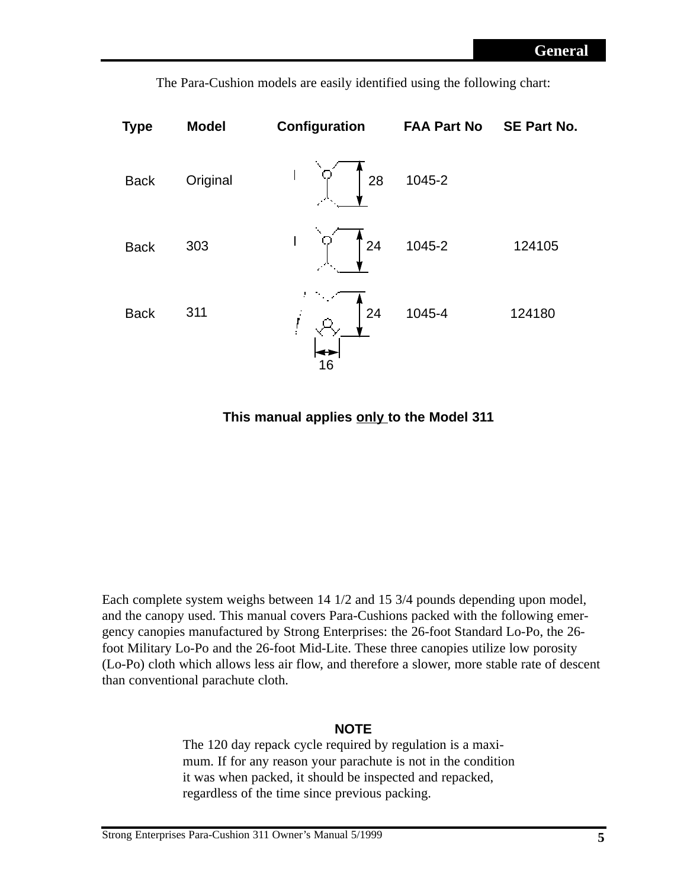| <b>Type</b> | <b>Model</b> | Configuration | <b>FAA Part No</b>                          | <b>SE Part No.</b> |
|-------------|--------------|---------------|---------------------------------------------|--------------------|
| <b>Back</b> | Original     |               | $\begin{bmatrix} 28 & 1045-2 \end{bmatrix}$ |                    |
| <b>Back</b> | 303          | $\int 24$     | 1045-2                                      | 124105             |
| <b>Back</b> | 311          | 24<br>16      | 1045-4                                      | 124180             |

The Para-Cushion models are easily identified using the following chart:

**This manual applies only to the Model 311**

Each complete system weighs between 14 1/2 and 15 3/4 pounds depending upon model, and the canopy used. This manual covers Para-Cushions packed with the following emergency canopies manufactured by Strong Enterprises: the 26-foot Standard Lo-Po, the 26 foot Military Lo-Po and the 26-foot Mid-Lite. These three canopies utilize low porosity (Lo-Po) cloth which allows less air flow, and therefore a slower, more stable rate of descent than conventional parachute cloth.

# **NOTE**

The 120 day repack cycle required by regulation is a maximum. If for any reason your parachute is not in the condition it was when packed, it should be inspected and repacked, regardless of the time since previous packing.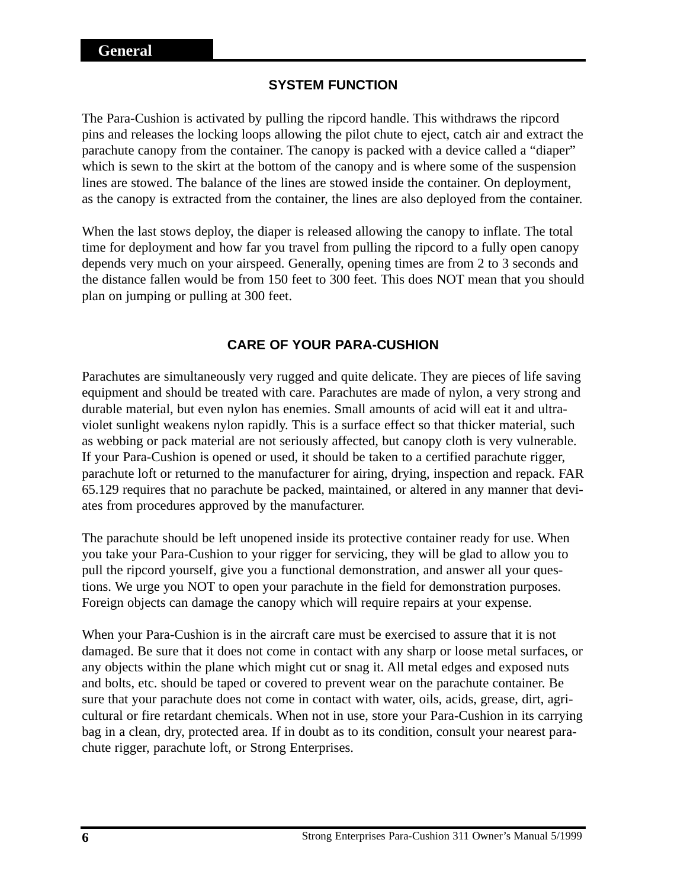# **SYSTEM FUNCTION**

The Para-Cushion is activated by pulling the ripcord handle. This withdraws the ripcord pins and releases the locking loops allowing the pilot chute to eject, catch air and extract the parachute canopy from the container. The canopy is packed with a device called a "diaper" which is sewn to the skirt at the bottom of the canopy and is where some of the suspension lines are stowed. The balance of the lines are stowed inside the container. On deployment, as the canopy is extracted from the container, the lines are also deployed from the container.

When the last stows deploy, the diaper is released allowing the canopy to inflate. The total time for deployment and how far you travel from pulling the ripcord to a fully open canopy depends very much on your airspeed. Generally, opening times are from 2 to 3 seconds and the distance fallen would be from 150 feet to 300 feet. This does NOT mean that you should plan on jumping or pulling at 300 feet.

# **CARE OF YOUR PARA-CUSHION**

Parachutes are simultaneously very rugged and quite delicate. They are pieces of life saving equipment and should be treated with care. Parachutes are made of nylon, a very strong and durable material, but even nylon has enemies. Small amounts of acid will eat it and ultraviolet sunlight weakens nylon rapidly. This is a surface effect so that thicker material, such as webbing or pack material are not seriously affected, but canopy cloth is very vulnerable. If your Para-Cushion is opened or used, it should be taken to a certified parachute rigger, parachute loft or returned to the manufacturer for airing, drying, inspection and repack. FAR 65.129 requires that no parachute be packed, maintained, or altered in any manner that deviates from procedures approved by the manufacturer.

The parachute should be left unopened inside its protective container ready for use. When you take your Para-Cushion to your rigger for servicing, they will be glad to allow you to pull the ripcord yourself, give you a functional demonstration, and answer all your questions. We urge you NOT to open your parachute in the field for demonstration purposes. Foreign objects can damage the canopy which will require repairs at your expense.

When your Para-Cushion is in the aircraft care must be exercised to assure that it is not damaged. Be sure that it does not come in contact with any sharp or loose metal surfaces, or any objects within the plane which might cut or snag it. All metal edges and exposed nuts and bolts, etc. should be taped or covered to prevent wear on the parachute container. Be sure that your parachute does not come in contact with water, oils, acids, grease, dirt, agricultural or fire retardant chemicals. When not in use, store your Para-Cushion in its carrying bag in a clean, dry, protected area. If in doubt as to its condition, consult your nearest parachute rigger, parachute loft, or Strong Enterprises.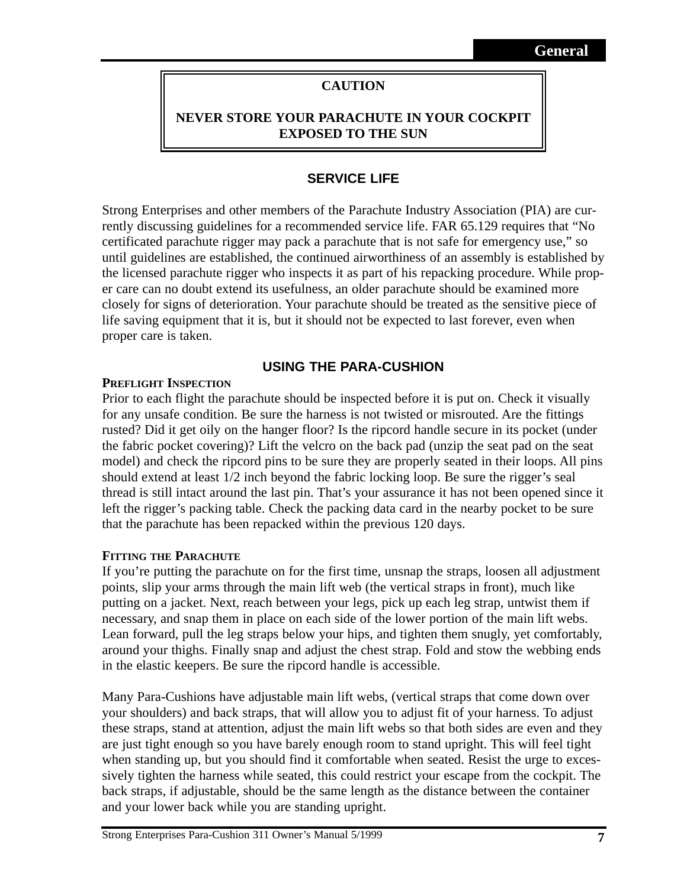# **CAUTION**

# **NEVER STORE YOUR PARACHUTE IN YOUR COCKPIT EXPOSED TO THE SUN**

# **SERVICE LIFE**

Strong Enterprises and other members of the Parachute Industry Association (PIA) are currently discussing guidelines for a recommended service life. FAR 65.129 requires that "No certificated parachute rigger may pack a parachute that is not safe for emergency use," so until guidelines are established, the continued airworthiness of an assembly is established by the licensed parachute rigger who inspects it as part of his repacking procedure. While proper care can no doubt extend its usefulness, an older parachute should be examined more closely for signs of deterioration. Your parachute should be treated as the sensitive piece of life saving equipment that it is, but it should not be expected to last forever, even when proper care is taken.

#### **USING THE PARA-CUSHION**

#### **PREFLIGHT INSPECTION**

Prior to each flight the parachute should be inspected before it is put on. Check it visually for any unsafe condition. Be sure the harness is not twisted or misrouted. Are the fittings rusted? Did it get oily on the hanger floor? Is the ripcord handle secure in its pocket (under the fabric pocket covering)? Lift the velcro on the back pad (unzip the seat pad on the seat model) and check the ripcord pins to be sure they are properly seated in their loops. All pins should extend at least 1/2 inch beyond the fabric locking loop. Be sure the rigger's seal thread is still intact around the last pin. That's your assurance it has not been opened since it left the rigger's packing table. Check the packing data card in the nearby pocket to be sure that the parachute has been repacked within the previous 120 days.

#### **FITTING THE PARACHUTE**

If you're putting the parachute on for the first time, unsnap the straps, loosen all adjustment points, slip your arms through the main lift web (the vertical straps in front), much like putting on a jacket. Next, reach between your legs, pick up each leg strap, untwist them if necessary, and snap them in place on each side of the lower portion of the main lift webs. Lean forward, pull the leg straps below your hips, and tighten them snugly, yet comfortably, around your thighs. Finally snap and adjust the chest strap. Fold and stow the webbing ends in the elastic keepers. Be sure the ripcord handle is accessible.

Many Para-Cushions have adjustable main lift webs, (vertical straps that come down over your shoulders) and back straps, that will allow you to adjust fit of your harness. To adjust these straps, stand at attention, adjust the main lift webs so that both sides are even and they are just tight enough so you have barely enough room to stand upright. This will feel tight when standing up, but you should find it comfortable when seated. Resist the urge to excessively tighten the harness while seated, this could restrict your escape from the cockpit. The back straps, if adjustable, should be the same length as the distance between the container and your lower back while you are standing upright.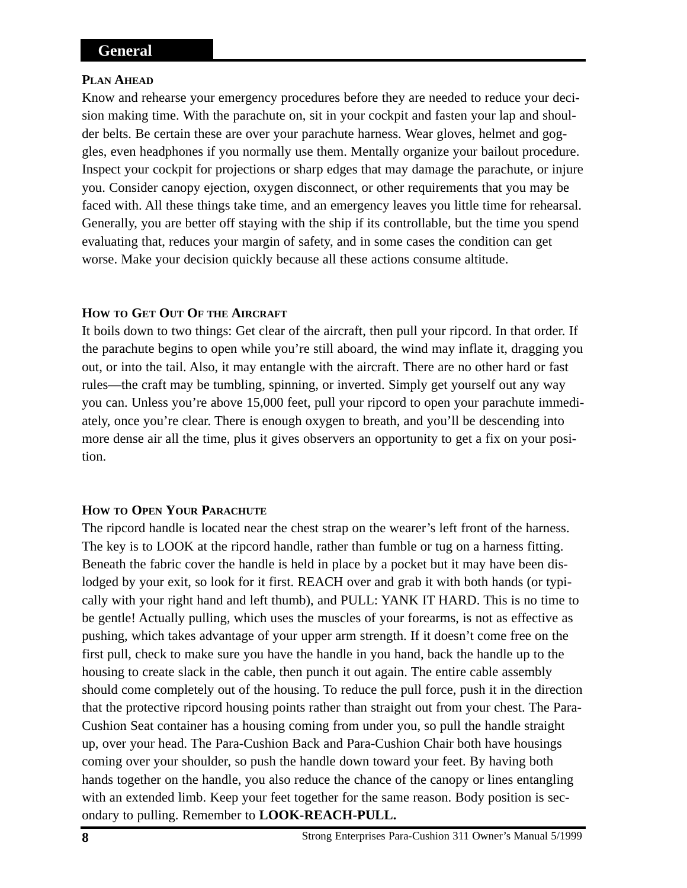# **General**

#### **PLAN AHEAD**

Know and rehearse your emergency procedures before they are needed to reduce your decision making time. With the parachute on, sit in your cockpit and fasten your lap and shoulder belts. Be certain these are over your parachute harness. Wear gloves, helmet and goggles, even headphones if you normally use them. Mentally organize your bailout procedure. Inspect your cockpit for projections or sharp edges that may damage the parachute, or injure you. Consider canopy ejection, oxygen disconnect, or other requirements that you may be faced with. All these things take time, and an emergency leaves you little time for rehearsal. Generally, you are better off staying with the ship if its controllable, but the time you spend evaluating that, reduces your margin of safety, and in some cases the condition can get worse. Make your decision quickly because all these actions consume altitude.

# **HOW TO GET OUT OF THE AIRCRAFT**

It boils down to two things: Get clear of the aircraft, then pull your ripcord. In that order. If the parachute begins to open while you're still aboard, the wind may inflate it, dragging you out, or into the tail. Also, it may entangle with the aircraft. There are no other hard or fast rules—the craft may be tumbling, spinning, or inverted. Simply get yourself out any way you can. Unless you're above 15,000 feet, pull your ripcord to open your parachute immediately, once you're clear. There is enough oxygen to breath, and you'll be descending into more dense air all the time, plus it gives observers an opportunity to get a fix on your position.

# **HOW TO OPEN YOUR PARACHUTE**

The ripcord handle is located near the chest strap on the wearer's left front of the harness. The key is to LOOK at the ripcord handle, rather than fumble or tug on a harness fitting. Beneath the fabric cover the handle is held in place by a pocket but it may have been dislodged by your exit, so look for it first. REACH over and grab it with both hands (or typically with your right hand and left thumb), and PULL: YANK IT HARD. This is no time to be gentle! Actually pulling, which uses the muscles of your forearms, is not as effective as pushing, which takes advantage of your upper arm strength. If it doesn't come free on the first pull, check to make sure you have the handle in you hand, back the handle up to the housing to create slack in the cable, then punch it out again. The entire cable assembly should come completely out of the housing. To reduce the pull force, push it in the direction that the protective ripcord housing points rather than straight out from your chest. The Para-Cushion Seat container has a housing coming from under you, so pull the handle straight up, over your head. The Para-Cushion Back and Para-Cushion Chair both have housings coming over your shoulder, so push the handle down toward your feet. By having both hands together on the handle, you also reduce the chance of the canopy or lines entangling with an extended limb. Keep your feet together for the same reason. Body position is secondary to pulling. Remember to **LOOK-REACH-PULL.**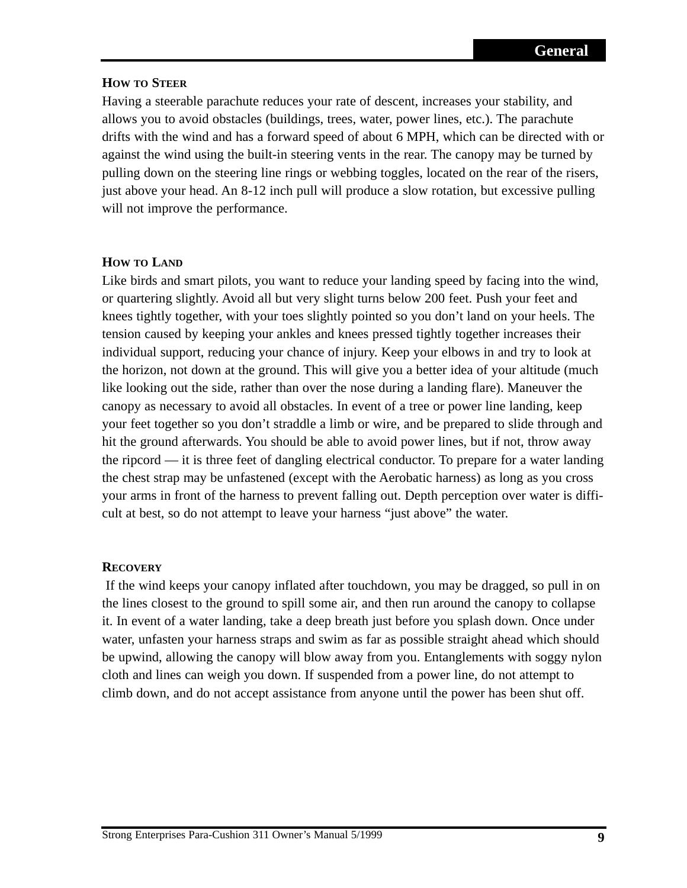#### **HOW TO STEER**

Having a steerable parachute reduces your rate of descent, increases your stability, and allows you to avoid obstacles (buildings, trees, water, power lines, etc.). The parachute drifts with the wind and has a forward speed of about 6 MPH, which can be directed with or against the wind using the built-in steering vents in the rear. The canopy may be turned by pulling down on the steering line rings or webbing toggles, located on the rear of the risers, just above your head. An 8-12 inch pull will produce a slow rotation, but excessive pulling will not improve the performance.

#### **HOW TO LAND**

Like birds and smart pilots, you want to reduce your landing speed by facing into the wind, or quartering slightly. Avoid all but very slight turns below 200 feet. Push your feet and knees tightly together, with your toes slightly pointed so you don't land on your heels. The tension caused by keeping your ankles and knees pressed tightly together increases their individual support, reducing your chance of injury. Keep your elbows in and try to look at the horizon, not down at the ground. This will give you a better idea of your altitude (much like looking out the side, rather than over the nose during a landing flare). Maneuver the canopy as necessary to avoid all obstacles. In event of a tree or power line landing, keep your feet together so you don't straddle a limb or wire, and be prepared to slide through and hit the ground afterwards. You should be able to avoid power lines, but if not, throw away the ripcord — it is three feet of dangling electrical conductor. To prepare for a water landing the chest strap may be unfastened (except with the Aerobatic harness) as long as you cross your arms in front of the harness to prevent falling out. Depth perception over water is difficult at best, so do not attempt to leave your harness "just above" the water.

#### **RECOVERY**

If the wind keeps your canopy inflated after touchdown, you may be dragged, so pull in on the lines closest to the ground to spill some air, and then run around the canopy to collapse it. In event of a water landing, take a deep breath just before you splash down. Once under water, unfasten your harness straps and swim as far as possible straight ahead which should be upwind, allowing the canopy will blow away from you. Entanglements with soggy nylon cloth and lines can weigh you down. If suspended from a power line, do not attempt to climb down, and do not accept assistance from anyone until the power has been shut off.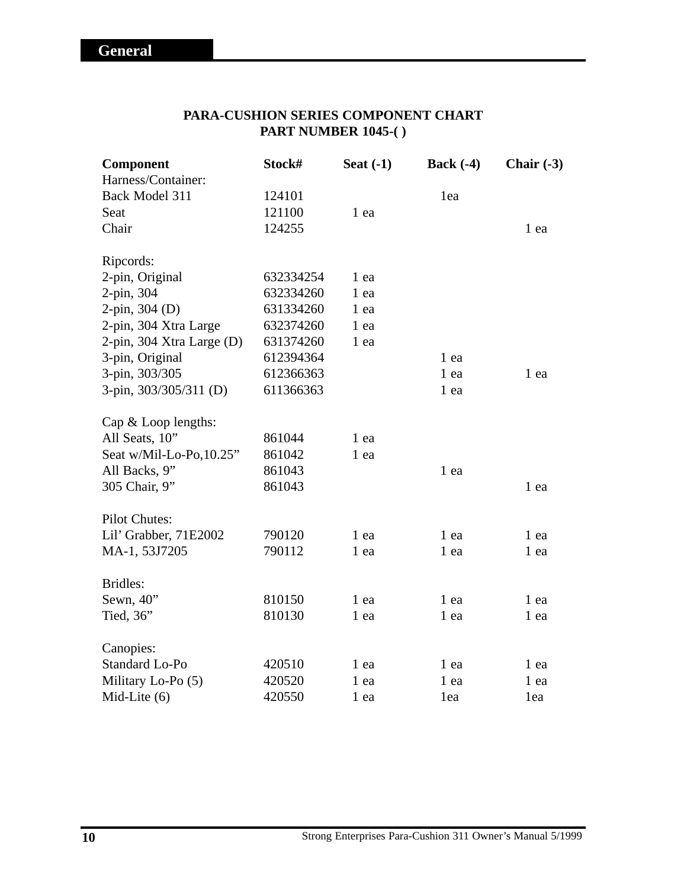| PARA-CUSHION SERIES COMPONENT CHART |
|-------------------------------------|
| <b>PART NUMBER 1045-()</b>          |

| Component                 | Stock#    | Seat $(-1)$ | Back $(-4)$ | Chair $(-3)$ |
|---------------------------|-----------|-------------|-------------|--------------|
| Harness/Container:        |           |             |             |              |
| Back Model 311            | 124101    |             | 1ea         |              |
| Seat                      | 121100    | 1 ea        |             |              |
| Chair                     | 124255    |             |             | 1 ea         |
| Ripcords:                 |           |             |             |              |
| 2-pin, Original           | 632334254 | 1 ea        |             |              |
| 2-pin, 304                | 632334260 | 1 ea        |             |              |
| 2-pin, 304 (D)            | 631334260 | 1 ea        |             |              |
| 2-pin, 304 Xtra Large     | 632374260 | 1 ea        |             |              |
| 2-pin, 304 Xtra Large (D) | 631374260 | 1 ea        |             |              |
| 3-pin, Original           | 612394364 |             | 1 ea        |              |
| 3-pin, 303/305            | 612366363 |             | 1 ea        | 1 ea         |
| 3-pin, 303/305/311 (D)    | 611366363 |             | 1 ea        |              |
| Cap & Loop lengths:       |           |             |             |              |
| All Seats, 10"            | 861044    | 1 ea        |             |              |
| Seat w/Mil-Lo-Po, 10.25"  | 861042    | 1 ea        |             |              |
| All Backs, 9"             | 861043    |             | 1 ea        |              |
| 305 Chair, 9"             | 861043    |             |             | 1 ea         |
| <b>Pilot Chutes:</b>      |           |             |             |              |
| Lil' Grabber, 71E2002     | 790120    | 1 ea        | 1 ea        | 1 ea         |
| MA-1, 53J7205             | 790112    | 1 ea        | 1 ea        | 1 ea         |
| Bridles:                  |           |             |             |              |
| Sewn, 40"                 | 810150    | 1 ea        | 1 ea        | 1 ea         |
| Tied, 36"                 | 810130    | 1 ea        | 1 ea        | 1 ea         |
| Canopies:                 |           |             |             |              |
| Standard Lo-Po            | 420510    | 1 ea        | 1 ea        | 1 ea         |
| Military Lo-Po (5)        | 420520    | 1 ea        | 1 ea        | 1 ea         |
| Mid-Lite $(6)$            | 420550    | 1 ea        | 1ea         | 1ea          |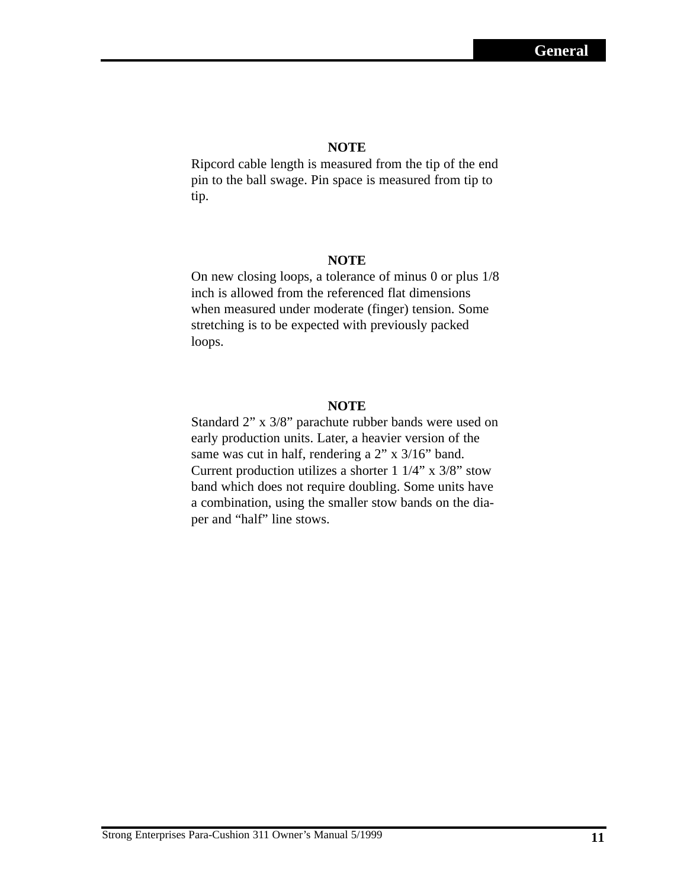#### **NOTE**

Ripcord cable length is measured from the tip of the end pin to the ball swage. Pin space is measured from tip to tip.

#### **NOTE**

On new closing loops, a tolerance of minus 0 or plus 1/8 inch is allowed from the referenced flat dimensions when measured under moderate (finger) tension. Some stretching is to be expected with previously packed loops.

#### **NOTE**

Standard 2" x 3/8" parachute rubber bands were used on early production units. Later, a heavier version of the same was cut in half, rendering a 2" x 3/16" band. Current production utilizes a shorter 1 1/4" x 3/8" stow band which does not require doubling. Some units have a combination, using the smaller stow bands on the diaper and "half" line stows.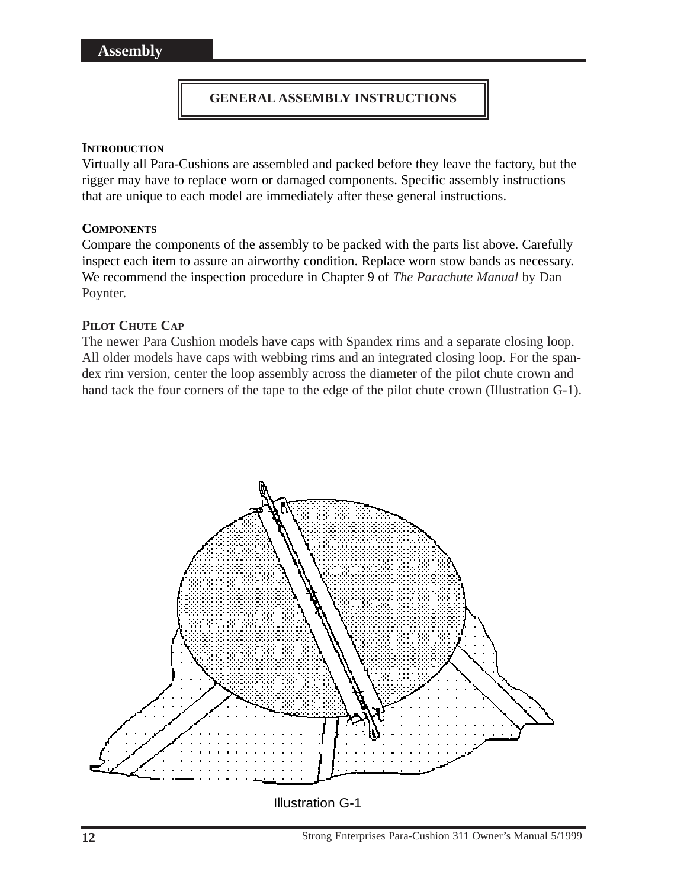# **GENERAL ASSEMBLY INSTRUCTIONS**

#### **INTRODUCTION**

Virtually all Para-Cushions are assembled and packed before they leave the factory, but the rigger may have to replace worn or damaged components. Specific assembly instructions that are unique to each model are immediately after these general instructions.

#### **COMPONENTS**

Compare the components of the assembly to be packed with the parts list above. Carefully inspect each item to assure an airworthy condition. Replace worn stow bands as necessary. We recommend the inspection procedure in Chapter 9 of *The Parachute Manual* by Dan Poynter.

#### **PILOT CHUTE CAP**

The newer Para Cushion models have caps with Spandex rims and a separate closing loop. All older models have caps with webbing rims and an integrated closing loop. For the spandex rim version, center the loop assembly across the diameter of the pilot chute crown and hand tack the four corners of the tape to the edge of the pilot chute crown (Illustration G-1).



Illustration G-1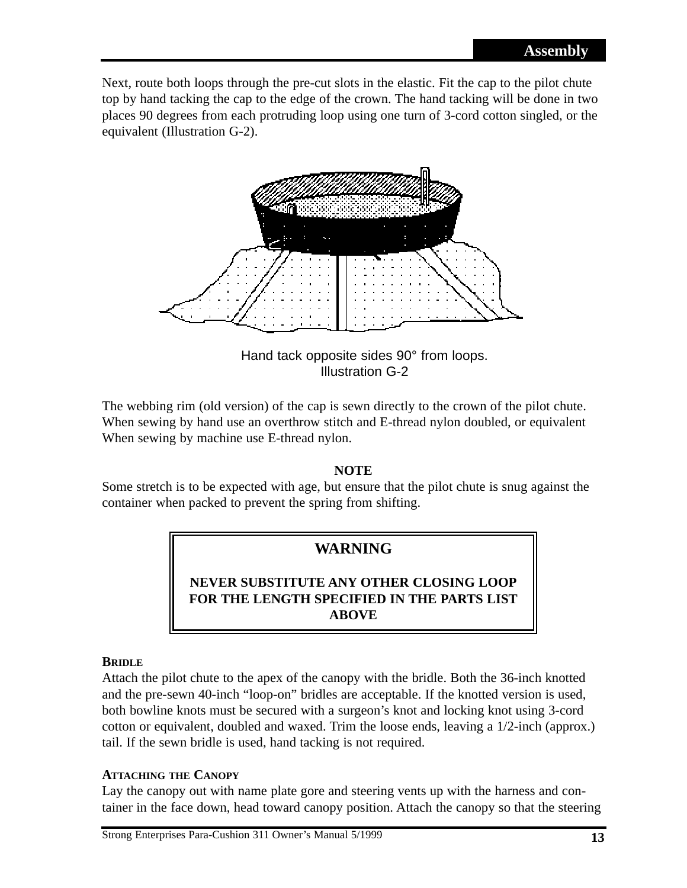Next, route both loops through the pre-cut slots in the elastic. Fit the cap to the pilot chute top by hand tacking the cap to the edge of the crown. The hand tacking will be done in two places 90 degrees from each protruding loop using one turn of 3-cord cotton singled, or the equivalent (Illustration G-2).



Hand tack opposite sides 90° from loops. Illustration G-2

The webbing rim (old version) of the cap is sewn directly to the crown of the pilot chute. When sewing by hand use an overthrow stitch and E-thread nylon doubled, or equivalent When sewing by machine use E-thread nylon.

# **NOTE**

Some stretch is to be expected with age, but ensure that the pilot chute is snug against the container when packed to prevent the spring from shifting.

# **WARNING**

**NEVER SUBSTITUTE ANY OTHER CLOSING LOOP FOR THE LENGTH SPECIFIED IN THE PARTS LIST ABOVE**

#### **BRIDLE**

Attach the pilot chute to the apex of the canopy with the bridle. Both the 36-inch knotted and the pre-sewn 40-inch "loop-on" bridles are acceptable. If the knotted version is used, both bowline knots must be secured with a surgeon's knot and locking knot using 3-cord cotton or equivalent, doubled and waxed. Trim the loose ends, leaving a 1/2-inch (approx.) tail. If the sewn bridle is used, hand tacking is not required.

# **ATTACHING THE CANOPY**

Lay the canopy out with name plate gore and steering vents up with the harness and container in the face down, head toward canopy position. Attach the canopy so that the steering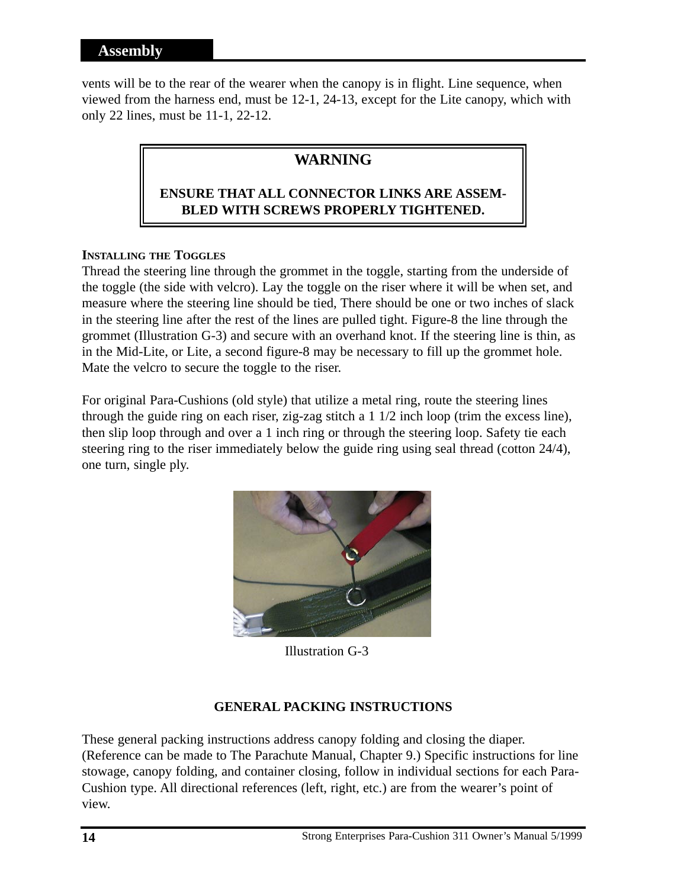vents will be to the rear of the wearer when the canopy is in flight. Line sequence, when viewed from the harness end, must be 12-1, 24-13, except for the Lite canopy, which with only 22 lines, must be 11-1, 22-12.

# **WARNING**

# **ENSURE THAT ALL CONNECTOR LINKS ARE ASSEM-BLED WITH SCREWS PROPERLY TIGHTENED.**

# **INSTALLING THE TOGGLES**

Thread the steering line through the grommet in the toggle, starting from the underside of the toggle (the side with velcro). Lay the toggle on the riser where it will be when set, and measure where the steering line should be tied, There should be one or two inches of slack in the steering line after the rest of the lines are pulled tight. Figure-8 the line through the grommet (Illustration G-3) and secure with an overhand knot. If the steering line is thin, as in the Mid-Lite, or Lite, a second figure-8 may be necessary to fill up the grommet hole. Mate the velcro to secure the toggle to the riser.

For original Para-Cushions (old style) that utilize a metal ring, route the steering lines through the guide ring on each riser, zig-zag stitch a 1 1/2 inch loop (trim the excess line), then slip loop through and over a 1 inch ring or through the steering loop. Safety tie each steering ring to the riser immediately below the guide ring using seal thread (cotton 24/4), one turn, single ply.



Illustration G-3

# **GENERAL PACKING INSTRUCTIONS**

These general packing instructions address canopy folding and closing the diaper. (Reference can be made to The Parachute Manual, Chapter 9.) Specific instructions for line stowage, canopy folding, and container closing, follow in individual sections for each Para-Cushion type. All directional references (left, right, etc.) are from the wearer's point of view.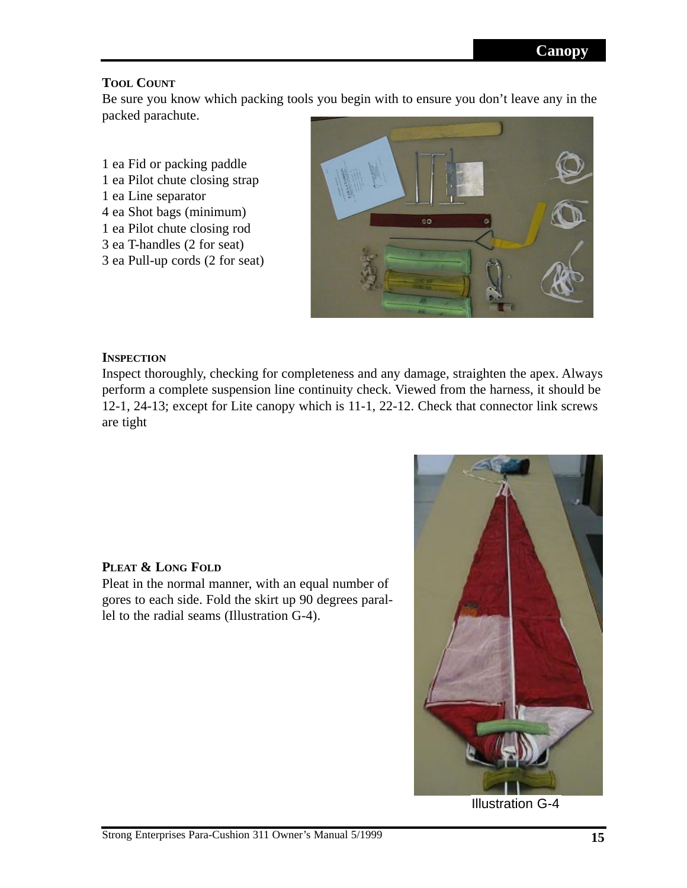# **TOOL COUNT**

Be sure you know which packing tools you begin with to ensure you don't leave any in the packed parachute.

1 ea Fid or packing paddle 1 ea Pilot chute closing strap 1 ea Line separator 4 ea Shot bags (minimum) 1 ea Pilot chute closing rod 3 ea T-handles (2 for seat) 3 ea Pull-up cords (2 for seat)



# **INSPECTION**

Inspect thoroughly, checking for completeness and any damage, straighten the apex. Always perform a complete suspension line continuity check. Viewed from the harness, it should be 12-1, 24-13; except for Lite canopy which is 11-1, 22-12. Check that connector link screws are tight

# **PLEAT & LONG FOLD**

Pleat in the normal manner, with an equal number of gores to each side. Fold the skirt up 90 degrees parallel to the radial seams (Illustration G-4).



Illustration G-4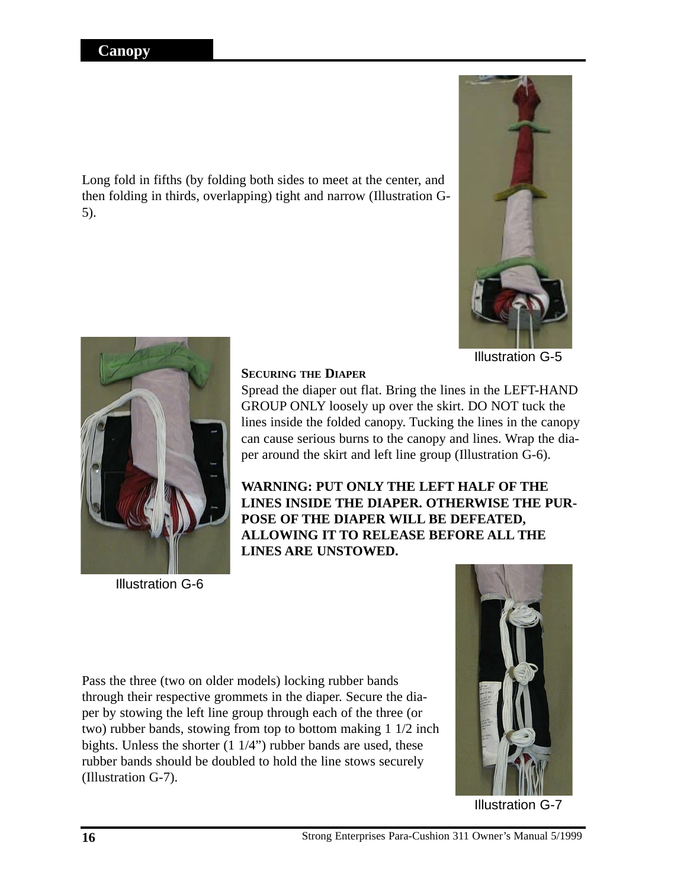Long fold in fifths (by folding both sides to meet at the center, and then folding in thirds, overlapping) tight and narrow (Illustration G-5).



Illustration G-5



Illustration G-6

# **SECURING THE DIAPER**

Spread the diaper out flat. Bring the lines in the LEFT-HAND GROUP ONLY loosely up over the skirt. DO NOT tuck the lines inside the folded canopy. Tucking the lines in the canopy can cause serious burns to the canopy and lines. Wrap the diaper around the skirt and left line group (Illustration G-6).

**WARNING: PUT ONLY THE LEFT HALF OF THE LINES INSIDE THE DIAPER. OTHERWISE THE PUR-POSE OF THE DIAPER WILL BE DEFEATED, ALLOWING IT TO RELEASE BEFORE ALL THE LINES ARE UNSTOWED.**

Pass the three (two on older models) locking rubber bands through their respective grommets in the diaper. Secure the diaper by stowing the left line group through each of the three (or two) rubber bands, stowing from top to bottom making 1 1/2 inch bights. Unless the shorter (1 1/4") rubber bands are used, these rubber bands should be doubled to hold the line stows securely (Illustration G-7).



Illustration G-7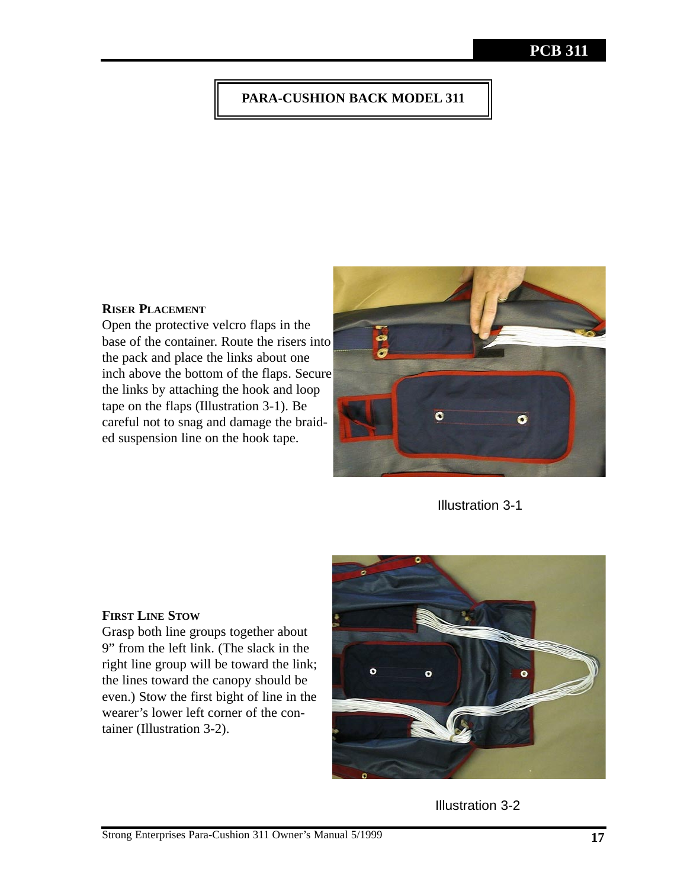# **PARA-CUSHION BACK MODEL 311**

#### **RISER PLACEMENT**

Open the protective velcro flaps in the base of the container. Route the risers into the pack and place the links about one inch above the bottom of the flaps. Secure the links by attaching the hook and loop tape on the flaps (Illustration 3-1). Be careful not to snag and damage the braided suspension line on the hook tape.



Illustration 3-1

#### **FIRST LINE STOW**

Grasp both line groups together about 9" from the left link. (The slack in the right line group will be toward the link; the lines toward the canopy should be even.) Stow the first bight of line in the wearer's lower left corner of the container (Illustration 3-2).



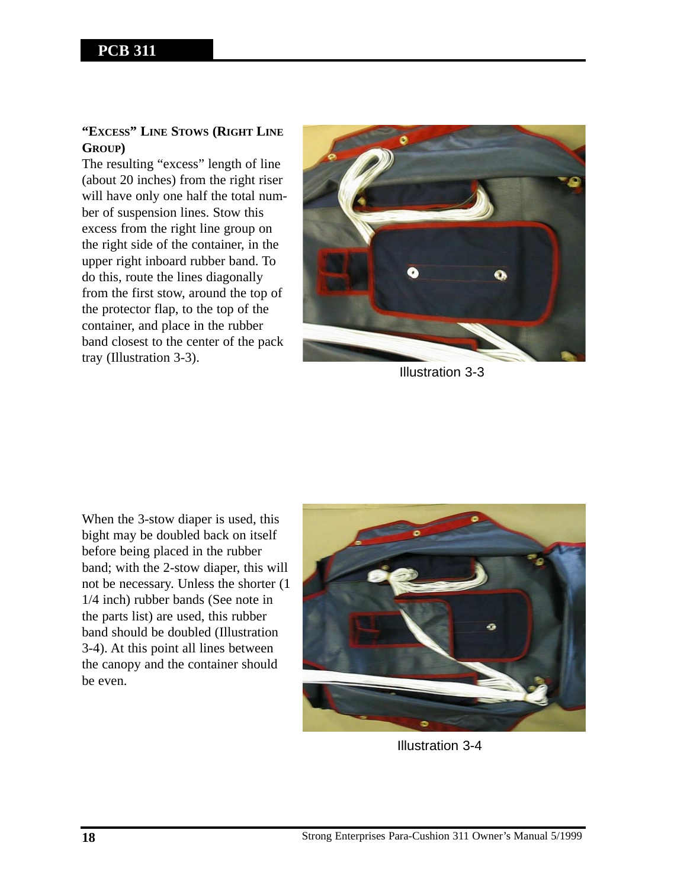#### **"EXCESS" LINE STOWS (RIGHT LINE GROUP)**

The resulting "excess" length of line (about 20 inches) from the right riser will have only one half the total number of suspension lines. Stow this excess from the right line group on the right side of the container, in the upper right inboard rubber band. To do this, route the lines diagonally from the first stow, around the top of the protector flap, to the top of the container, and place in the rubber band closest to the center of the pack tray (Illustration 3-3).



Illustration 3-3

When the 3-stow diaper is used, this bight may be doubled back on itself before being placed in the rubber band; with the 2-stow diaper, this will not be necessary. Unless the shorter (1 1/4 inch) rubber bands (See note in the parts list) are used, this rubber band should be doubled (Illustration 3-4). At this point all lines between the canopy and the container should be even.



Illustration 3-4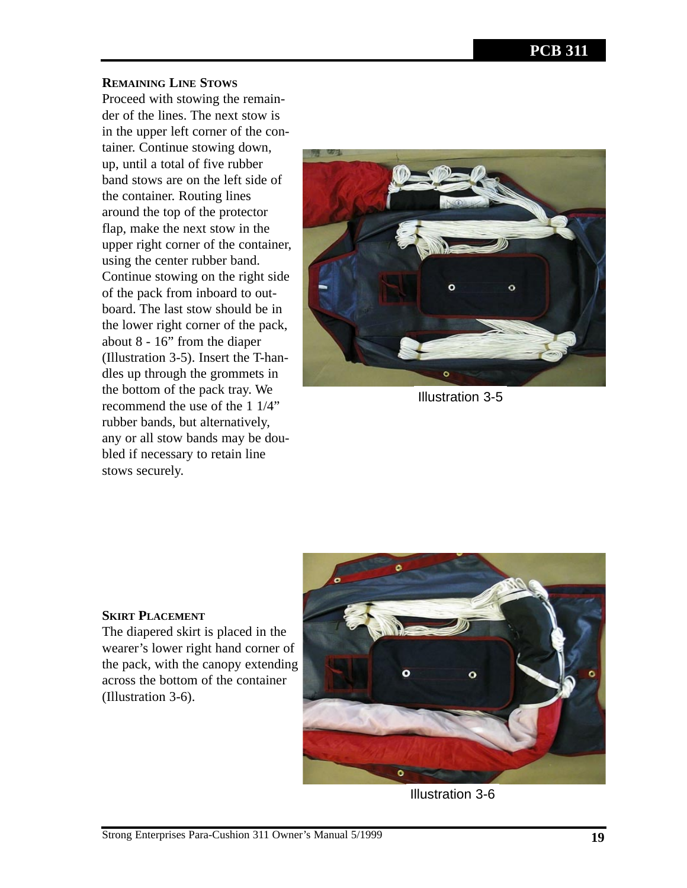#### **REMAINING LINE STOWS**

Proceed with stowing the remainder of the lines. The next stow is in the upper left corner of the container. Continue stowing down, up, until a total of five rubber band stows are on the left side of the container. Routing lines around the top of the protector flap, make the next stow in the upper right corner of the container, using the center rubber band. Continue stowing on the right side of the pack from inboard to outboard. The last stow should be in the lower right corner of the pack, about 8 - 16" from the diaper (Illustration 3-5). Insert the T-handles up through the grommets in the bottom of the pack tray. We recommend the use of the 1 1/4" rubber bands, but alternatively, any or all stow bands may be doubled if necessary to retain line stows securely.



Illustration 3-5

#### **SKIRT PLACEMENT**

The diapered skirt is placed in the wearer's lower right hand corner of the pack, with the canopy extending across the bottom of the container (Illustration 3-6).



Illustration 3-6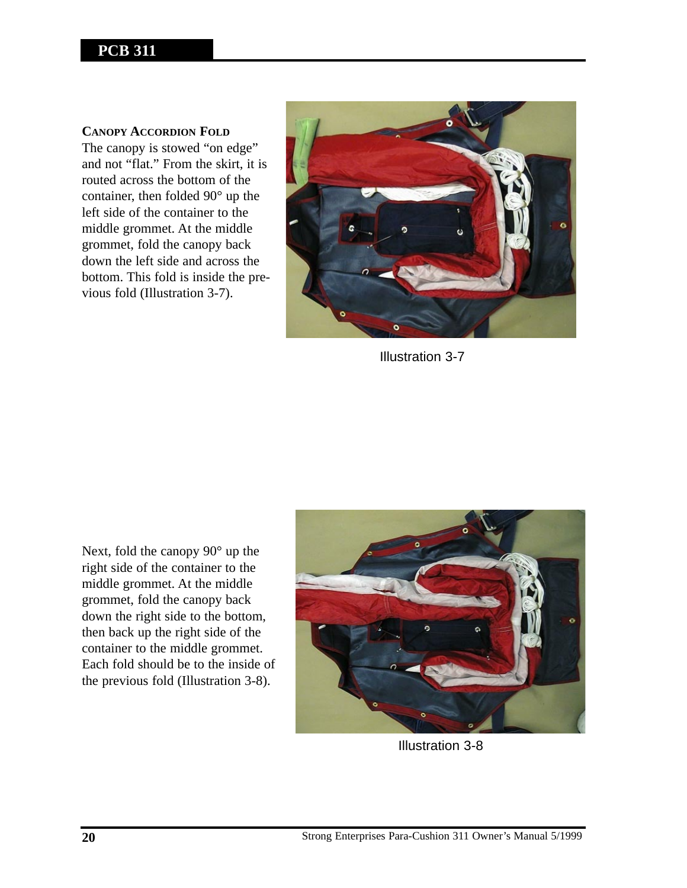#### **CANOPY ACCORDION FOLD**

The canopy is stowed "on edge" and not "flat." From the skirt, it is routed across the bottom of the container, then folded 90° up the left side of the container to the middle grommet. At the middle grommet, fold the canopy back down the left side and across the bottom. This fold is inside the previous fold (Illustration 3-7).



Illustration 3-7

Next, fold the canopy 90° up the right side of the container to the middle grommet. At the middle grommet, fold the canopy back down the right side to the bottom, then back up the right side of the container to the middle grommet. Each fold should be to the inside of the previous fold (Illustration 3-8).



Illustration 3-8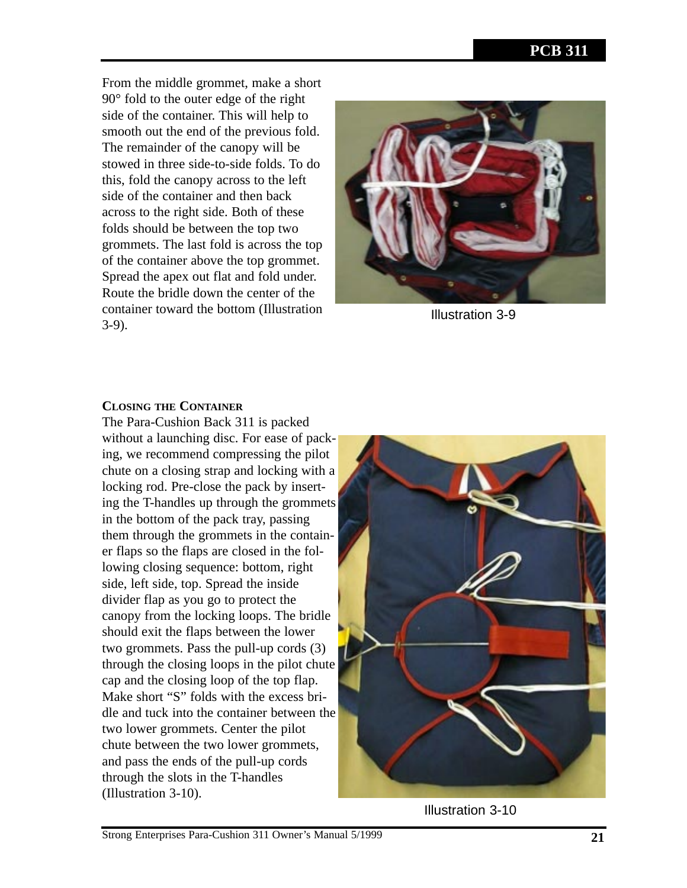From the middle grommet, make a short 90° fold to the outer edge of the right side of the container. This will help to smooth out the end of the previous fold. The remainder of the canopy will be stowed in three side-to-side folds. To do this, fold the canopy across to the left side of the container and then back across to the right side. Both of these folds should be between the top two grommets. The last fold is across the top of the container above the top grommet. Spread the apex out flat and fold under. Route the bridle down the center of the container toward the bottom (Illustration 3-9).



Illustration 3-9

# **CLOSING THE CONTAINER**

The Para-Cushion Back 311 is packed without a launching disc. For ease of packing, we recommend compressing the pilot chute on a closing strap and locking with a locking rod. Pre-close the pack by inserting the T-handles up through the grommets in the bottom of the pack tray, passing them through the grommets in the container flaps so the flaps are closed in the following closing sequence: bottom, right side, left side, top. Spread the inside divider flap as you go to protect the canopy from the locking loops. The bridle should exit the flaps between the lower two grommets. Pass the pull-up cords (3) through the closing loops in the pilot chute cap and the closing loop of the top flap. Make short "S" folds with the excess bridle and tuck into the container between the two lower grommets. Center the pilot chute between the two lower grommets, and pass the ends of the pull-up cords through the slots in the T-handles (Illustration 3-10).



Illustration 3-10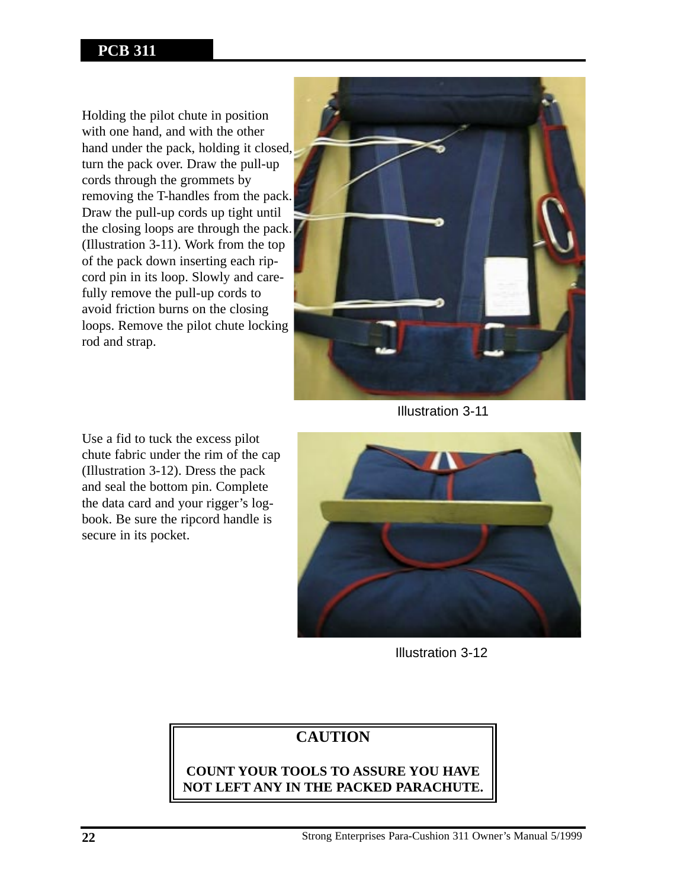Holding the pilot chute in position with one hand, and with the other hand under the pack, holding it closed, turn the pack over. Draw the pull-up cords through the grommets by removing the T-handles from the pack. Draw the pull-up cords up tight until the closing loops are through the pack. (Illustration 3-11). Work from the top of the pack down inserting each ripcord pin in its loop. Slowly and carefully remove the pull-up cords to avoid friction burns on the closing loops. Remove the pilot chute locking rod and strap.



Illustration 3-11

Use a fid to tuck the excess pilot chute fabric under the rim of the cap (Illustration 3-12). Dress the pack and seal the bottom pin. Complete the data card and your rigger's logbook. Be sure the ripcord handle is secure in its pocket.



Illustration 3-12

# **CAUTION**

**COUNT YOUR TOOLS TO ASSURE YOU HAVE NOT LEFT ANY IN THE PACKED PARACHUTE.**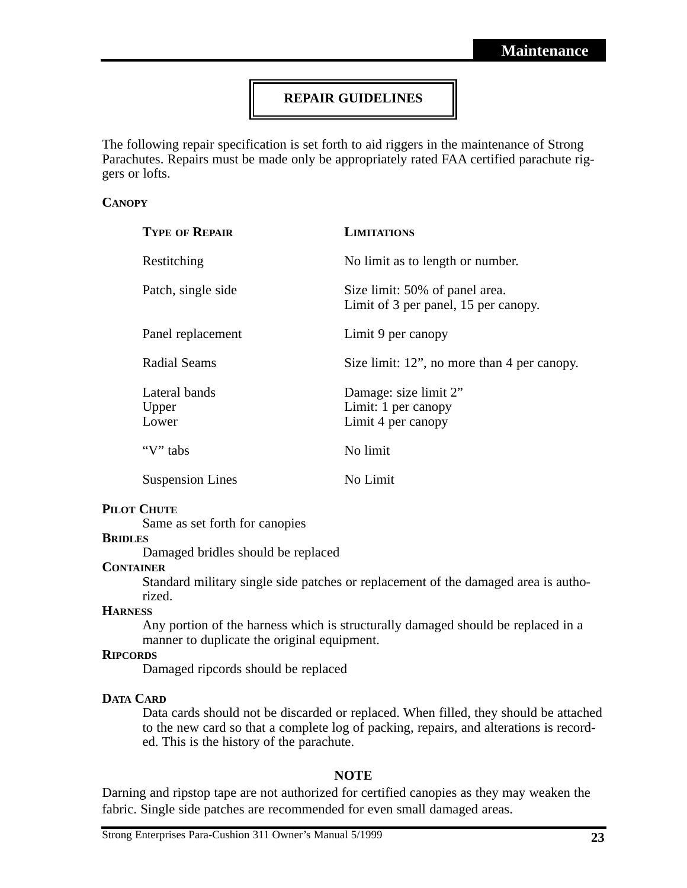# **REPAIR GUIDELINES**

The following repair specification is set forth to aid riggers in the maintenance of Strong Parachutes. Repairs must be made only be appropriately rated FAA certified parachute riggers or lofts.

#### **CANOPY**

| <b>TYPE OF REPAIR</b>           | <b>LIMITATIONS</b>                                                     |
|---------------------------------|------------------------------------------------------------------------|
| Restitching                     | No limit as to length or number.                                       |
| Patch, single side              | Size limit: 50% of panel area.<br>Limit of 3 per panel, 15 per canopy. |
| Panel replacement               | Limit 9 per canopy                                                     |
| <b>Radial Seams</b>             | Size limit: 12", no more than 4 per canopy.                            |
| Lateral bands<br>Upper<br>Lower | Damage: size limit 2"<br>Limit: 1 per canopy<br>Limit 4 per canopy     |
| "V" tabs                        | No limit                                                               |
| <b>Suspension Lines</b>         | No Limit                                                               |

#### **PILOT CHUTE**

Same as set forth for canopies

#### **BRIDLES**

Damaged bridles should be replaced

#### **CONTAINER**

Standard military single side patches or replacement of the damaged area is authorized.

#### **HARNESS**

Any portion of the harness which is structurally damaged should be replaced in a manner to duplicate the original equipment.

#### **RIPCORDS**

Damaged ripcords should be replaced

#### **DATA CARD**

Data cards should not be discarded or replaced. When filled, they should be attached to the new card so that a complete log of packing, repairs, and alterations is recorded. This is the history of the parachute.

#### **NOTE**

Darning and ripstop tape are not authorized for certified canopies as they may weaken the fabric. Single side patches are recommended for even small damaged areas.